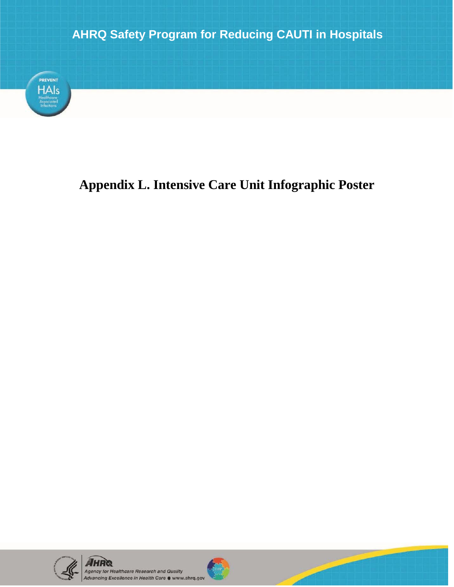

## **Appendix L. Intensive Care Unit Infographic Poster**